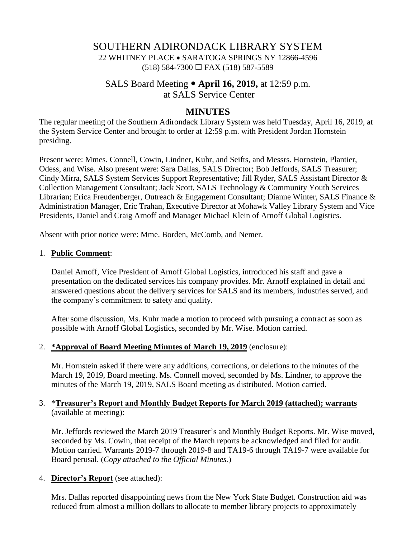# SOUTHERN ADIRONDACK LIBRARY SYSTEM 22 WHITNEY PLACE • SARATOGA SPRINGS NY 12866-4596  $(518)$  584-7300  $\Box$  FAX (518) 587-5589

# SALS Board Meeting **April 16, 2019,** at 12:59 p.m. at SALS Service Center

### **MINUTES**

The regular meeting of the Southern Adirondack Library System was held Tuesday, April 16, 2019, at the System Service Center and brought to order at 12:59 p.m. with President Jordan Hornstein presiding.

Present were: Mmes. Connell, Cowin, Lindner, Kuhr, and Seifts, and Messrs. Hornstein, Plantier, Odess, and Wise. Also present were: Sara Dallas, SALS Director; Bob Jeffords, SALS Treasurer; Cindy Mirra, SALS System Services Support Representative; Jill Ryder, SALS Assistant Director & Collection Management Consultant; Jack Scott, SALS Technology & Community Youth Services Librarian; Erica Freudenberger, Outreach & Engagement Consultant; Dianne Winter, SALS Finance & Administration Manager, Eric Trahan, Executive Director at Mohawk Valley Library System and Vice Presidents, Daniel and Craig Arnoff and Manager Michael Klein of Arnoff Global Logistics.

Absent with prior notice were: Mme. Borden, McComb, and Nemer.

#### 1. **Public Comment**:

Daniel Arnoff, Vice President of Arnoff Global Logistics, introduced his staff and gave a presentation on the dedicated services his company provides. Mr. Arnoff explained in detail and answered questions about the delivery services for SALS and its members, industries served, and the company's commitment to safety and quality.

After some discussion, Ms. Kuhr made a motion to proceed with pursuing a contract as soon as possible with Arnoff Global Logistics, seconded by Mr. Wise. Motion carried.

#### 2. **\*Approval of Board Meeting Minutes of March 19, 2019** (enclosure):

Mr. Hornstein asked if there were any additions, corrections, or deletions to the minutes of the March 19, 2019, Board meeting. Ms. Connell moved, seconded by Ms. Lindner, to approve the minutes of the March 19, 2019, SALS Board meeting as distributed. Motion carried.

#### 3. \***Treasurer's Report and Monthly Budget Reports for March 2019 (attached); warrants** (available at meeting):

Mr. Jeffords reviewed the March 2019 Treasurer's and Monthly Budget Reports. Mr. Wise moved, seconded by Ms. Cowin, that receipt of the March reports be acknowledged and filed for audit. Motion carried. Warrants 2019-7 through 2019-8 and TA19-6 through TA19-7 were available for Board perusal. (*Copy attached to the Official Minutes.*)

#### 4. **Director's Report** (see attached):

Mrs. Dallas reported disappointing news from the New York State Budget. Construction aid was reduced from almost a million dollars to allocate to member library projects to approximately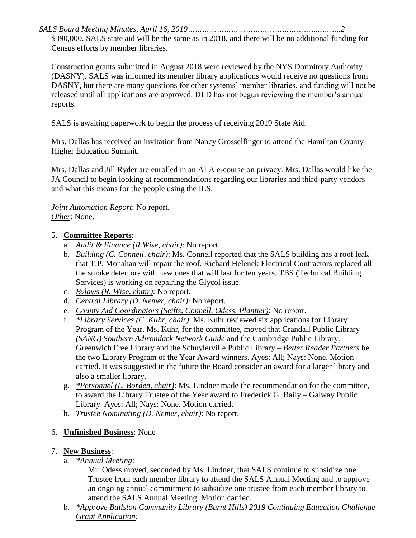*SALS Board Meeting Minutes, April 16, 2019………………………………………………..……..2*

\$390,000. SALS state aid will be the same as in 2018, and there will be no additional funding for Census efforts by member libraries.

Construction grants submitted in August 2018 were reviewed by the NYS Dormitory Authority (DASNY). SALS was informed its member library applications would receive no questions from DASNY, but there are many questions for other systems' member libraries, and funding will not be released until all applications are approved. DLD has not begun reviewing the member's annual reports.

SALS is awaiting paperwork to begin the process of receiving 2019 State Aid.

Mrs. Dallas has received an invitation from Nancy Grosselfinger to attend the Hamilton County Higher Education Summit.

Mrs. Dallas and Jill Ryder are enrolled in an ALA e-course on privacy. Mrs. Dallas would like the JA Council to begin looking at recommendations regarding our libraries and third-party vendors and what this means for the people using the ILS.

*Joint Automation Report*: No report. *Other*: None.

### 5. **Committee Reports**:

- a. *Audit & Finance (R.Wise, chair)*: No report.
- b. *Building (C. Connell, chair)*: Ms. Connell reported that the SALS building has a roof leak that T.P. Monahan will repair the roof. Richard Helenek Electrical Contractors replaced all the smoke detectors with new ones that will last for ten years. TBS (Technical Building Services) is working on repairing the Glycol issue.
- c. *Bylaws (R. Wise, chair)*: No report.
- d. *Central Library (D. Nemer, chair)*: No report.
- e. *County Aid Coordinators (Seifts, Connell, Odess, Plantier)*: No report.
- f. *\*Library Services (C. Kuhr, chair)*: Ms. Kuhr reviewed six applications for Library Program of the Year. Ms. Kuhr, for the committee, moved that Crandall Public Library – *(SANG) Southern Adirondack Network Guide* and the Cambridge Public Library, Greenwich Free Library and the Schuylerville Public Library – *Better Reader Partners* be the two Library Program of the Year Award winners. Ayes: All; Nays: None. Motion carried. It was suggested in the future the Board consider an award for a larger library and also a smaller library.
- g. *\*Personnel (L. Borden, chair)*: Ms. Lindner made the recommendation for the committee, to award the Library Trustee of the Year award to Frederick G. Baily – Galway Public Library. Ayes: All; Nays: None. Motion carried.
- h. *Trustee Nominating (D. Nemer, chair)*: No report.

## 6. **Unfinished Business**: None

### 7. **New Business**:

a. *\*Annual Meeting*:

Mr. Odess moved, seconded by Ms. Lindner, that SALS continue to subsidize one Trustee from each member library to attend the SALS Annual Meeting and to approve an ongoing annual commitment to subsidize one trustee from each member library to attend the SALS Annual Meeting. Motion carried.

b. *\*Approve Ballston Community Library (Burnt Hills) 2019 Continuing Education Challenge Grant Application:*